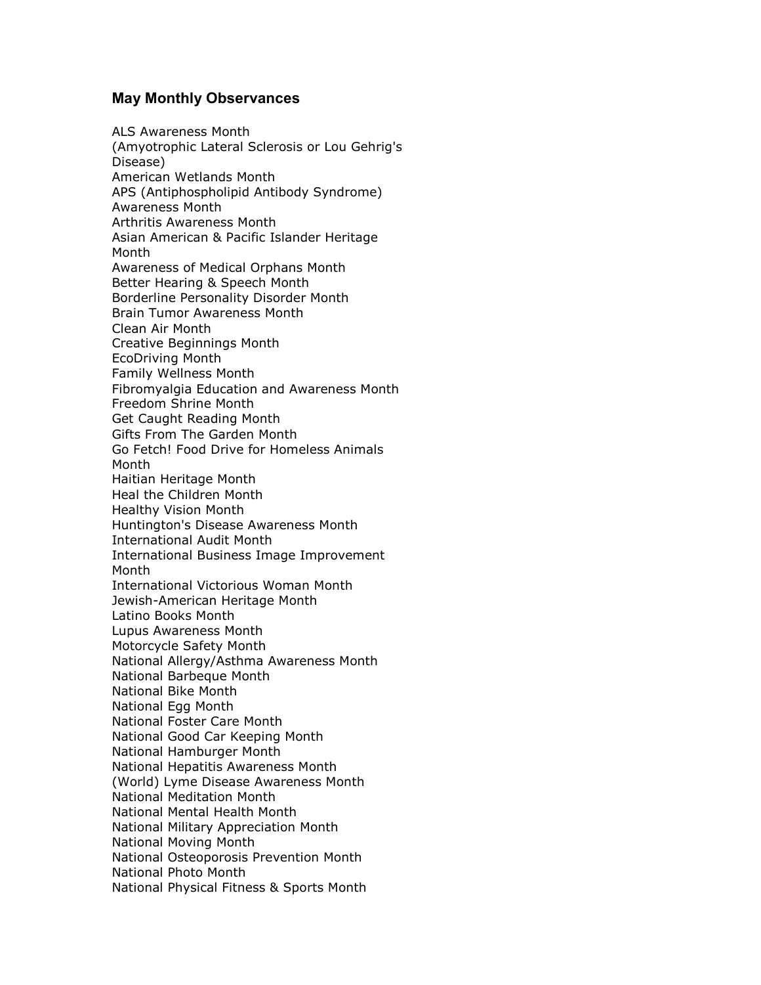## **May Monthly Observances**

ALS Awareness Month (Amyotrophic Lateral Sclerosis or Lou Gehrig's Disease) American Wetlands Month APS (Antiphospholipid Antibody Syndrome) Awareness Month Arthritis Awareness Month Asian American & Pacific Islander Heritage Month Awareness of Medical Orphans Month Better Hearing & Speech Month Borderline Personality Disorder Month Brain Tumor Awareness Month Clean Air Month Creative Beginnings Month EcoDriving Month Family Wellness Month Fibromyalgia Education and Awareness Month Freedom Shrine Month Get Caught Reading Month Gifts From The Garden Month Go Fetch! Food Drive for Homeless Animals Month Haitian Heritage Month Heal the Children Month Healthy Vision Month Huntington's Disease Awareness Month International Audit Month International Business Image Improvement Month International Victorious Woman Month Jewish-American Heritage Month Latino Books Month Lupus Awareness Month Motorcycle Safety Month National Allergy/Asthma Awareness Month National Barbeque Month National Bike Month National Egg Month National Foster Care Month National Good Car Keeping Month National Hamburger Month National Hepatitis Awareness Month (World) Lyme Disease Awareness Month National Meditation Month National Mental Health Month National Military Appreciation Month National Moving Month National Osteoporosis Prevention Month National Photo Month National Physical Fitness & Sports Month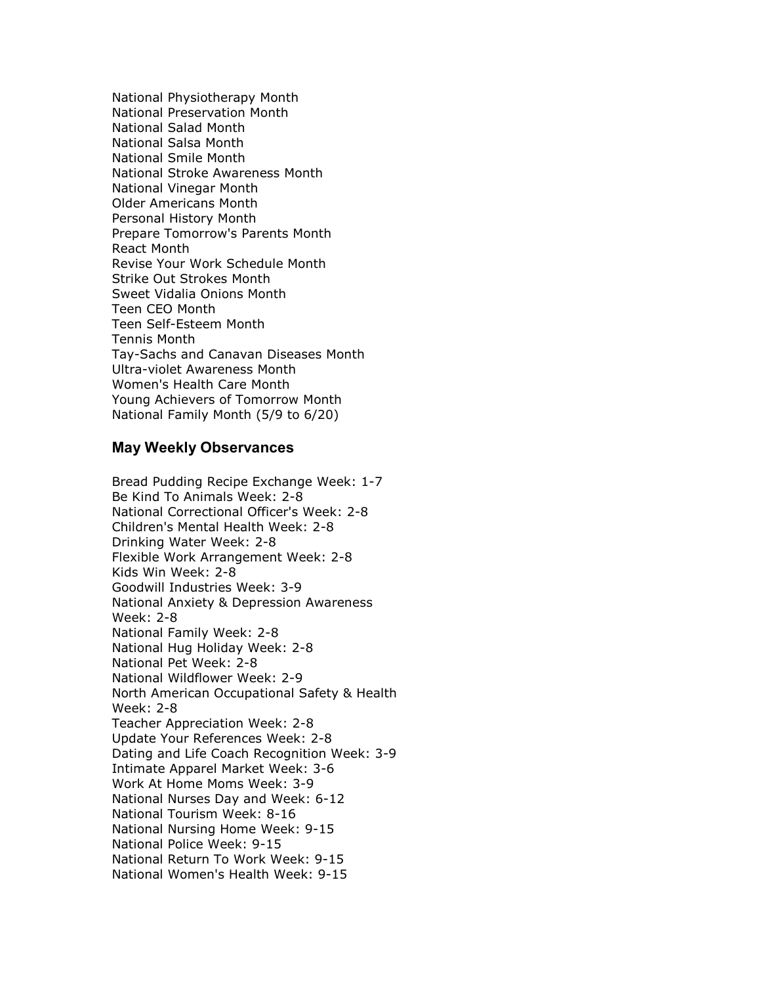National Physiotherapy Month National Preservation Month National Salad Month National Salsa Month National Smile Month National Stroke Awareness Month National Vinegar Month Older Americans Month Personal History Month Prepare Tomorrow's Parents Month React Month Revise Your Work Schedule Month Strike Out Strokes Month Sweet Vidalia Onions Month Teen CEO Month Teen Self-Esteem Month Tennis Month Tay-Sachs and Canavan Diseases Month Ultra-violet Awareness Month Women's Health Care Month Young Achievers of Tomorrow Month National Family Month (5/9 to 6/20)

## **May Weekly Observances**

Bread Pudding Recipe Exchange Week: 1-7 Be Kind To Animals Week: 2-8 National Correctional Officer's Week: 2-8 Children's Mental Health Week: 2-8 Drinking Water Week: 2-8 Flexible Work Arrangement Week: 2-8 Kids Win Week: 2-8 Goodwill Industries Week: 3-9 National Anxiety & Depression Awareness Week: 2-8 National Family Week: 2-8 National Hug Holiday Week: 2-8 National Pet Week: 2-8 National Wildflower Week: 2-9 North American Occupational Safety & Health Week: 2-8 Teacher Appreciation Week: 2-8 Update Your References Week: 2-8 Dating and Life Coach Recognition Week: 3-9 Intimate Apparel Market Week: 3-6 Work At Home Moms Week: 3-9 National Nurses Day and Week: 6-12 National Tourism Week: 8-16 National Nursing Home Week: 9-15 National Police Week: 9-15 National Return To Work Week: 9-15 National Women's Health Week: 9-15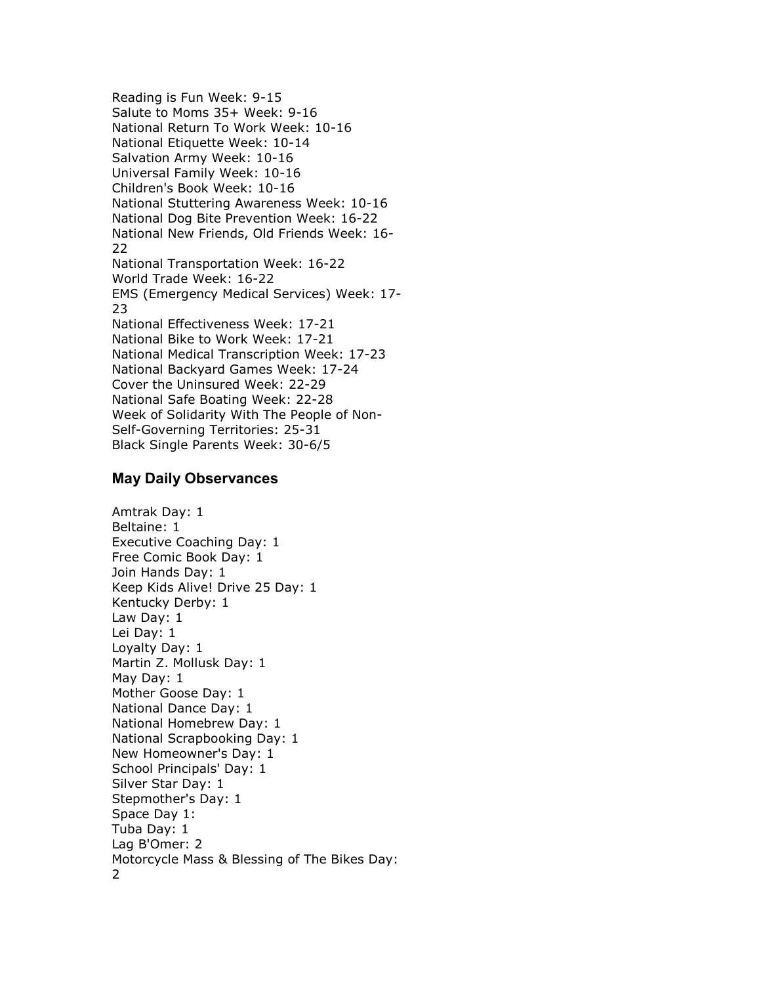Reading is Fun Week: 9-15 Salute to Moms 35+ Week: 9-16 National Return To Work Week: 10-16 National Etiquette Week: 10-14 Salvation Army Week: 10-16 Universal Family Week: 10-16 Children's Book Week: 10-16 National Stuttering Awareness Week: 10-16 National Dog Bite Prevention Week: 16-22 National New Friends, Old Friends Week: 16- 22 National Transportation Week: 16-22 World Trade Week: 16-22 EMS (Emergency Medical Services) Week: 17- 23 National Effectiveness Week: 17-21 National Bike to Work Week: 17-21 National Medical Transcription Week: 17-23 National Backyard Games Week: 17-24 Cover the Uninsured Week: 22-29 National Safe Boating Week: 22-28 Week of Solidarity With The People of Non-Self-Governing Territories: 25-31 Black Single Parents Week: 30-6/5

## **May Daily Observances**

Amtrak Day: 1 Beltaine: 1 Executive Coaching Day: 1 Free Comic Book Day: 1 Join Hands Day: 1 Keep Kids Alive! Drive 25 Day: 1 Kentucky Derby: 1 Law Day: 1 Lei Day: 1 Loyalty Day: 1 Martin Z. Mollusk Day: 1 May Day: 1 Mother Goose Day: 1 National Dance Day: 1 National Homebrew Day: 1 National Scrapbooking Day: 1 New Homeowner's Day: 1 School Principals' Day: 1 Silver Star Day: 1 Stepmother's Day: 1 Space Day 1: Tuba Day: 1 Lag B'Omer: 2 Motorcycle Mass & Blessing of The Bikes Day: 2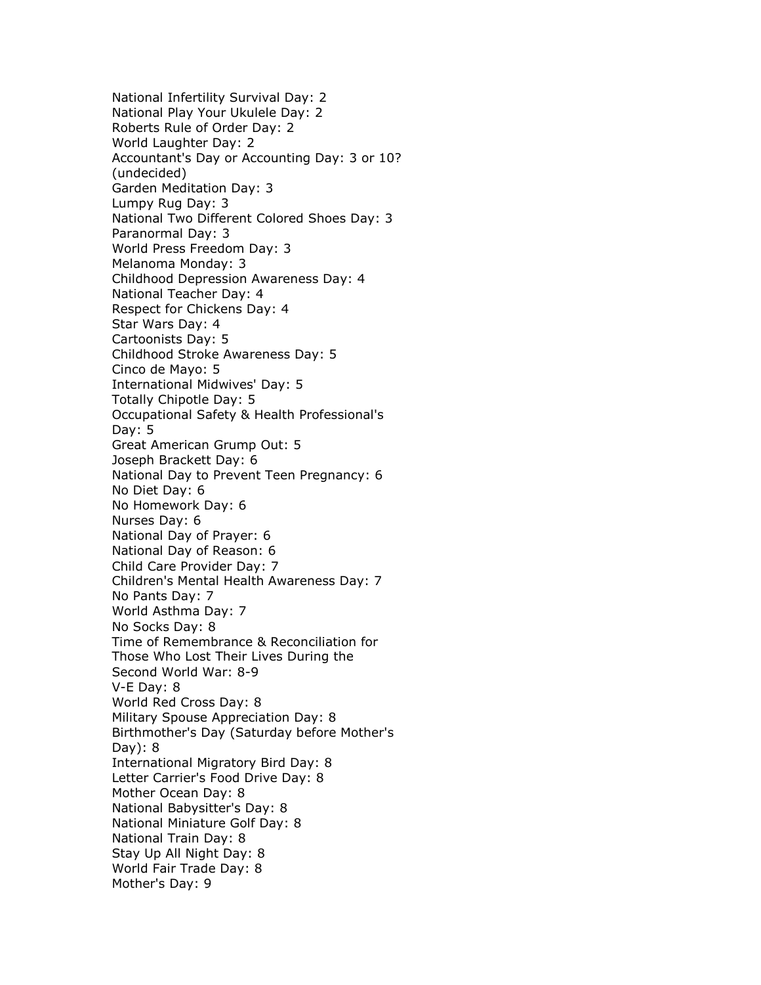National Infertility Survival Day: 2 National Play Your Ukulele Day: 2 Roberts Rule of Order Day: 2 World Laughter Day: 2 Accountant's Day or Accounting Day: 3 or 10? (undecided) Garden Meditation Day: 3 Lumpy Rug Day: 3 National Two Different Colored Shoes Day: 3 Paranormal Day: 3 World Press Freedom Day: 3 Melanoma Monday: 3 Childhood Depression Awareness Day: 4 National Teacher Day: 4 Respect for Chickens Day: 4 Star Wars Day: 4 Cartoonists Day: 5 Childhood Stroke Awareness Day: 5 Cinco de Mayo: 5 International Midwives' Day: 5 Totally Chipotle Day: 5 Occupational Safety & Health Professional's Day: 5 Great American Grump Out: 5 Joseph Brackett Day: 6 National Day to Prevent Teen Pregnancy: 6 No Diet Day: 6 No Homework Day: 6 Nurses Day: 6 National Day of Prayer: 6 National Day of Reason: 6 Child Care Provider Day: 7 Children's Mental Health Awareness Day: 7 No Pants Day: 7 World Asthma Day: 7 No Socks Day: 8 Time of Remembrance & Reconciliation for Those Who Lost Their Lives During the Second World War: 8-9 V-E Day: 8 World Red Cross Day: 8 Military Spouse Appreciation Day: 8 Birthmother's Day (Saturday before Mother's Day): 8 International Migratory Bird Day: 8 Letter Carrier's Food Drive Day: 8 Mother Ocean Day: 8 National Babysitter's Day: 8 National Miniature Golf Day: 8 National Train Day: 8 Stay Up All Night Day: 8 World Fair Trade Day: 8 Mother's Day: 9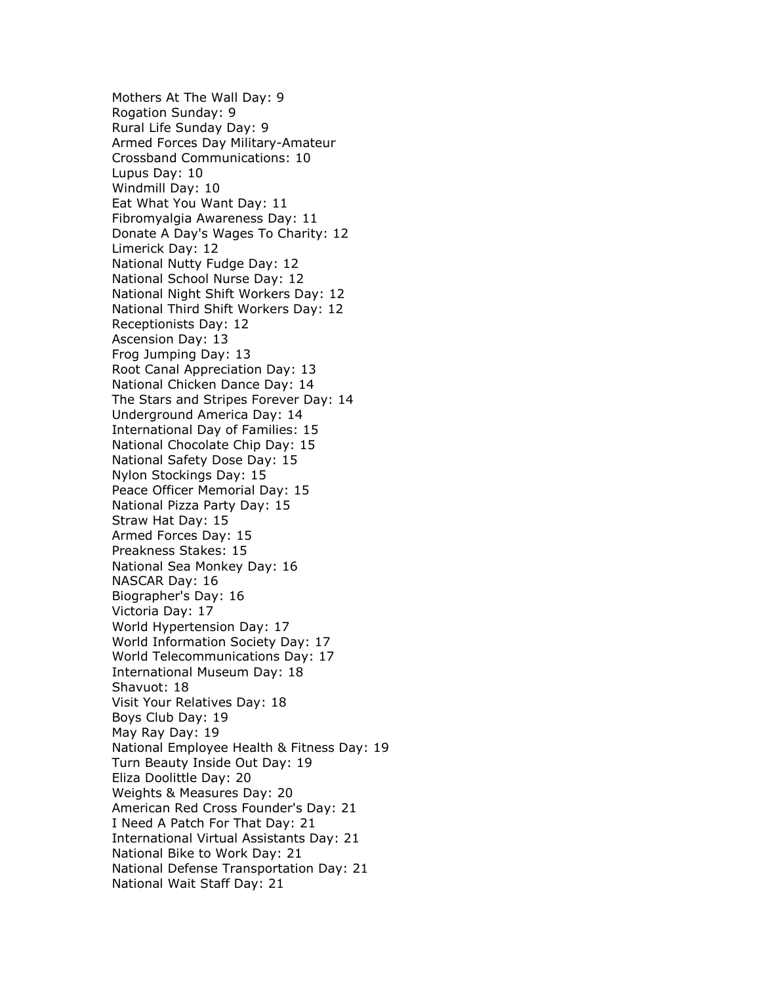Mothers At The Wall Day: 9 Rogation Sunday: 9 Rural Life Sunday Day: 9 Armed Forces Day Military-Amateur Crossband Communications: 10 Lupus Day: 10 Windmill Day: 10 Eat What You Want Day: 11 Fibromyalgia Awareness Day: 11 Donate A Day's Wages To Charity: 12 Limerick Day: 12 National Nutty Fudge Day: 12 National School Nurse Day: 12 National Night Shift Workers Day: 12 National Third Shift Workers Day: 12 Receptionists Day: 12 Ascension Day: 13 Frog Jumping Day: 13 Root Canal Appreciation Day: 13 National Chicken Dance Day: 14 The Stars and Stripes Forever Day: 14 Underground America Day: 14 International Day of Families: 15 National Chocolate Chip Day: 15 National Safety Dose Day: 15 Nylon Stockings Day: 15 Peace Officer Memorial Day: 15 National Pizza Party Day: 15 Straw Hat Day: 15 Armed Forces Day: 15 Preakness Stakes: 15 National Sea Monkey Day: 16 NASCAR Day: 16 Biographer's Day: 16 Victoria Day: 17 World Hypertension Day: 17 World Information Society Day: 17 World Telecommunications Day: 17 International Museum Day: 18 Shavuot: 18 Visit Your Relatives Day: 18 Boys Club Day: 19 May Ray Day: 19 National Employee Health & Fitness Day: 19 Turn Beauty Inside Out Day: 19 Eliza Doolittle Day: 20 Weights & Measures Day: 20 American Red Cross Founder's Day: 21 I Need A Patch For That Day: 21 International Virtual Assistants Day: 21 National Bike to Work Day: 21 National Defense Transportation Day: 21 National Wait Staff Day: 21